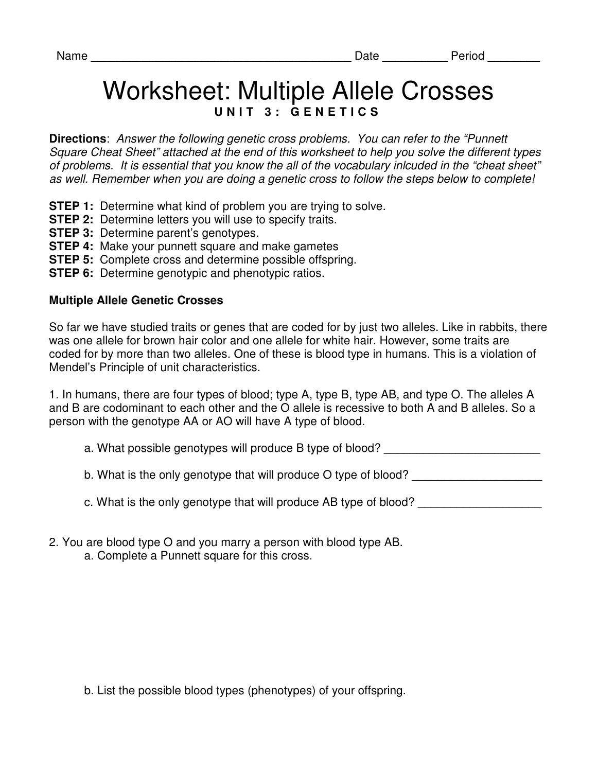## Worksheet: Multiple Allele Crosses UNIT 3: GENETICS

**Directions**: Answer the following genetic cross problems. You can refer to the "Punnett Square Cheat Sheet" attached at the end of this worksheet to help you solve the different types of problems. It is essential that you know the all of the vocabulary inlcuded in the "cheat sheet" as well. Remember when you are doing a genetic cross to follow the steps below to complete!

- **STEP 1:** Determine what kind of problem you are trying to solve.
- **STEP 2:** Determine letters you will use to specify traits.
- **STEP 3: Determine parent's genotypes.**
- **STEP 4:** Make your punnett square and make gametes
- **STEP 5:** Complete cross and determine possible offspring.
- **STEP 6:** Determine genotypic and phenotypic ratios.

## **Multiple Allele Genetic Crosses**

So far we have studied traits or genes that are coded for by just two alleles. Like in rabbits, there was one allele for brown hair color and one allele for white hair. However, some traits are coded for by more than two alleles. One of these is blood type in humans. This is a violation of Mendel's Principle of unit characteristics.

1. In humans, there are four types of blood; type A, type B, type AB, and type O. The alleles A and B are codominant to each other and the O allele is recessive to both A and B alleles. So a person with the genotype AA or AO will have A type of blood.

- a. What possible genotypes will produce B type of blood? \_\_\_\_\_\_\_\_\_\_\_\_\_\_\_\_\_\_\_\_\_\_\_
- b. What is the only genotype that will produce O type of blood?
- c. What is the only genotype that will produce AB type of blood?
- 2. You are blood type O and you marry a person with blood type AB.
	- a. Complete a Punnett square for this cross.

b. List the possible blood types (phenotypes) of your offspring.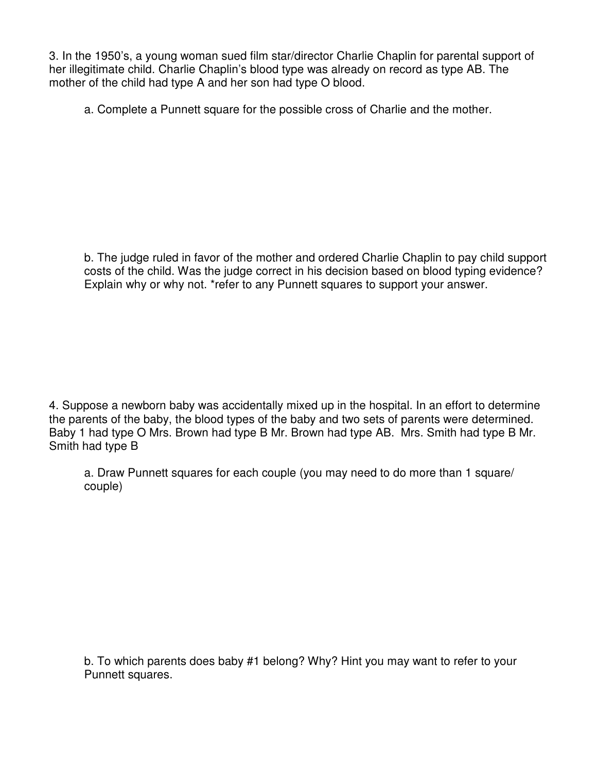3. In the 1950's, a young woman sued film star/director Charlie Chaplin for parental support of her illegitimate child. Charlie Chaplin's blood type was already on record as type AB. The mother of the child had type A and her son had type O blood.

a. Complete a Punnett square for the possible cross of Charlie and the mother.

b. The judge ruled in favor of the mother and ordered Charlie Chaplin to pay child support costs of the child. Was the judge correct in his decision based on blood typing evidence? Explain why or why not. \*refer to any Punnett squares to support your answer.

4. Suppose a newborn baby was accidentally mixed up in the hospital. In an effort to determine the parents of the baby, the blood types of the baby and two sets of parents were determined. Baby 1 had type O Mrs. Brown had type B Mr. Brown had type AB. Mrs. Smith had type B Mr. Smith had type B

a. Draw Punnett squares for each couple (you may need to do more than 1 square/ couple)

b. To which parents does baby #1 belong? Why? Hint you may want to refer to your Punnett squares.